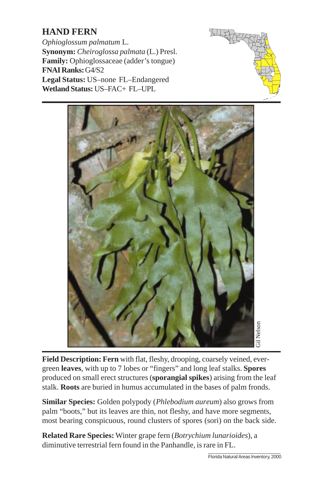## **HAND FERN**

*Ophioglossum palmatum* L. **Synonym:** *Cheiroglossa palmata* (L.) Presl. **Family:** Ophioglossaceae (adder's tongue) **FNAI Ranks:** G4/S2 **Legal Status:** US–none FL–Endangered **Wetland Status:** US–FAC+ FL–UPL





**Field Description: Fern** with flat, fleshy, drooping, coarsely veined, evergreen **leaves**, with up to 7 lobes or "fingers" and long leaf stalks. **Spores** produced on small erect structures (**sporangial spikes**) arising from the leaf stalk. **Roots** are buried in humus accumulated in the bases of palm fronds.

**Similar Species:** Golden polypody (*Phlebodium aureum*) also grows from palm "boots," but its leaves are thin, not fleshy, and have more segments, most bearing conspicuous, round clusters of spores (sori) on the back side.

**Related Rare Species:** Winter grape fern (*Botrychium lunarioides*), a diminutive terrestrial fern found in the Panhandle, is rare in FL.

\_\_\_\_\_\_\_\_\_\_\_\_\_\_\_\_\_\_\_\_\_\_\_\_\_\_\_\_\_\_\_ Florida Natural Areas Inventory, 2000